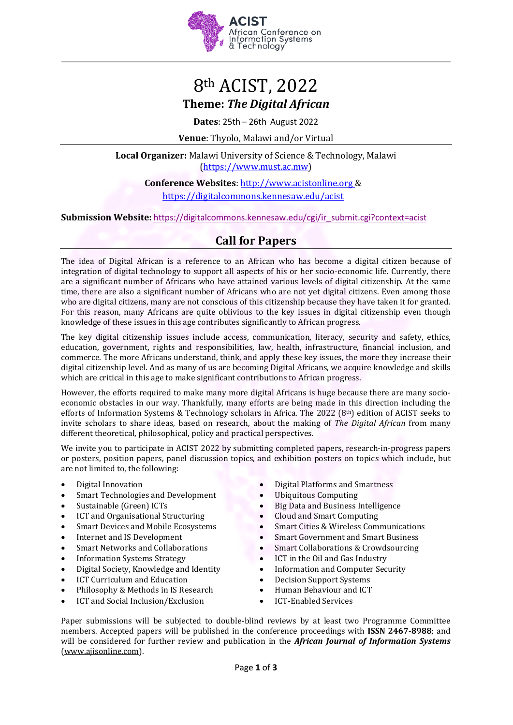

# 8th ACIST, 2022 **Theme:** *The Digital African*

**Dates**: 25th – 26th August 2022

**Venue**: Thyolo, Malawi and/or Virtual

**Local Organizer:** Malawi University of Science & Technology, Malawi [\(https://www.must.ac.mw\)](https://www.must.ac.mw/)

> **Conference Websites**: [http://www.acistonline.org &](http://www.acistonline.org/) https://digitalcommons.kennesaw.edu/acist

**Submission Website:** [https://digitalcommons.kennesaw.edu/cgi/ir\\_submit.cgi?context=acist](https://protect-za.mimecast.com/s/XmY4CGZXj8tnnXPxHK8v1b)

## **Call for Papers**

The idea of Digital African is a reference to an African who has become a digital citizen because of integration of digital technology to support all aspects of his or her socio-economic life. Currently, there are a significant number of Africans who have attained various levels of digital citizenship. At the same time, there are also a significant number of Africans who are not yet digital citizens. Even among those who are digital citizens, many are not conscious of this citizenship because they have taken it for granted. For this reason, many Africans are quite oblivious to the key issues in digital citizenship even though knowledge of these issues in this age contributes significantly to African progress.

The key digital citizenship issues include access, communication, literacy, security and safety, ethics, education, government, rights and responsibilities, law, health, infrastructure, financial inclusion, and commerce. The more Africans understand, think, and apply these key issues, the more they increase their digital citizenship level. And as many of us are becoming Digital Africans, we acquire knowledge and skills which are critical in this age to make significant contributions to African progress.

However, the efforts required to make many more digital Africans is huge because there are many socioeconomic obstacles in our way. Thankfully, many efforts are being made in this direction including the efforts of Information Systems & Technology scholars in Africa. The 2022 (8th) edition of ACIST seeks to invite scholars to share ideas, based on research, about the making of *The Digital African* from many different theoretical, philosophical, policy and practical perspectives.

We invite you to participate in ACIST 2022 by submitting completed papers, research-in-progress papers or posters, position papers, panel discussion topics, and exhibition posters on topics which include, but are not limited to, the following:

- Digital Innovation
- Smart Technologies and Development
- Sustainable (Green) ICTs
- ICT and Organisational Structuring
- Smart Devices and Mobile Ecosystems
- Internet and IS Development
- Smart Networks and Collaborations
- Information Systems Strategy
- Digital Society, Knowledge and Identity
- ICT Curriculum and Education
- Philosophy & Methods in IS Research
- ICT and Social Inclusion/Exclusion
- Digital Platforms and Smartness
- Ubiquitous Computing
- Big Data and Business Intelligence
- Cloud and Smart Computing
- Smart Cities & Wireless Communications
- Smart Government and Smart Business
- Smart Collaborations & Crowdsourcing
- ICT in the Oil and Gas Industry
- Information and Computer Security
- Decision Support Systems
- Human Behaviour and ICT
- ICT-Enabled Services

Paper submissions will be subjected to double-blind reviews by at least two Programme Committee members. Accepted papers will be published in the conference proceedings with **ISSN 2467-8988**; and will be considered for further review and publication in the *African Journal of Information Systems* [\(www.ajisonline.com\)](http://www.ajisonline.com/).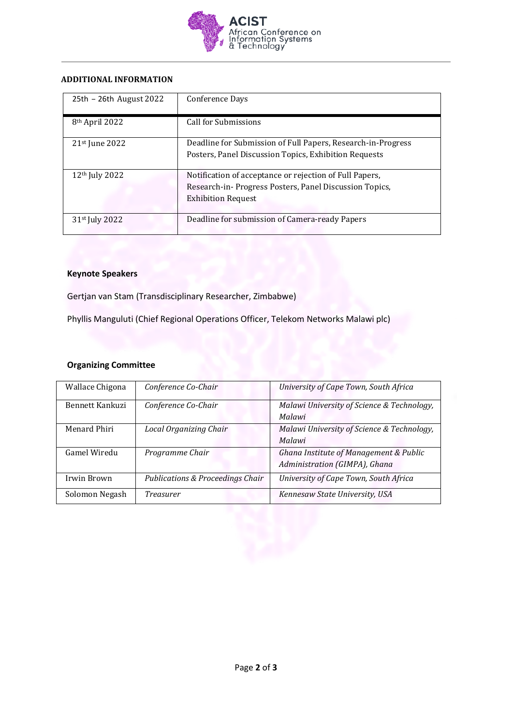

#### **ADDITIONAL INFORMATION**

| 25th - 26th August 2022    | Conference Days                                                                                                                                |
|----------------------------|------------------------------------------------------------------------------------------------------------------------------------------------|
| 8 <sup>th</sup> April 2022 | Call for Submissions                                                                                                                           |
| $21st$ June $2022$         | Deadline for Submission of Full Papers, Research-in-Progress<br>Posters, Panel Discussion Topics, Exhibition Requests                          |
| 12 <sup>th</sup> July 2022 | Notification of acceptance or rejection of Full Papers,<br>Research-in-Progress Posters, Panel Discussion Topics,<br><b>Exhibition Request</b> |
| 31 <sup>st</sup> July 2022 | Deadline for submission of Camera-ready Papers                                                                                                 |

#### **Keynote Speakers**

Gertjan van Stam (Transdisciplinary Researcher, Zimbabwe)

Phyllis Manguluti (Chief Regional Operations Officer, Telekom Networks Malawi plc)

#### **Organizing Committee**

| Wallace Chigona | Conference Co-Chair                         | University of Cape Town, South Africa      |
|-----------------|---------------------------------------------|--------------------------------------------|
| Bennett Kankuzi | Conference Co-Chair                         | Malawi University of Science & Technology, |
|                 |                                             | Malawi                                     |
| Menard Phiri    | <b>Local Organizing Chair</b>               | Malawi University of Science & Technology, |
|                 |                                             | Malawi                                     |
| Gamel Wiredu    | Programme Chair                             | Ghana Institute of Management & Public     |
|                 |                                             | Administration (GIMPA), Ghana              |
| Irwin Brown     | <b>Publications &amp; Proceedings Chair</b> | University of Cape Town, South Africa      |
| Solomon Negash  | Treasurer                                   | Kennesaw State University, USA             |